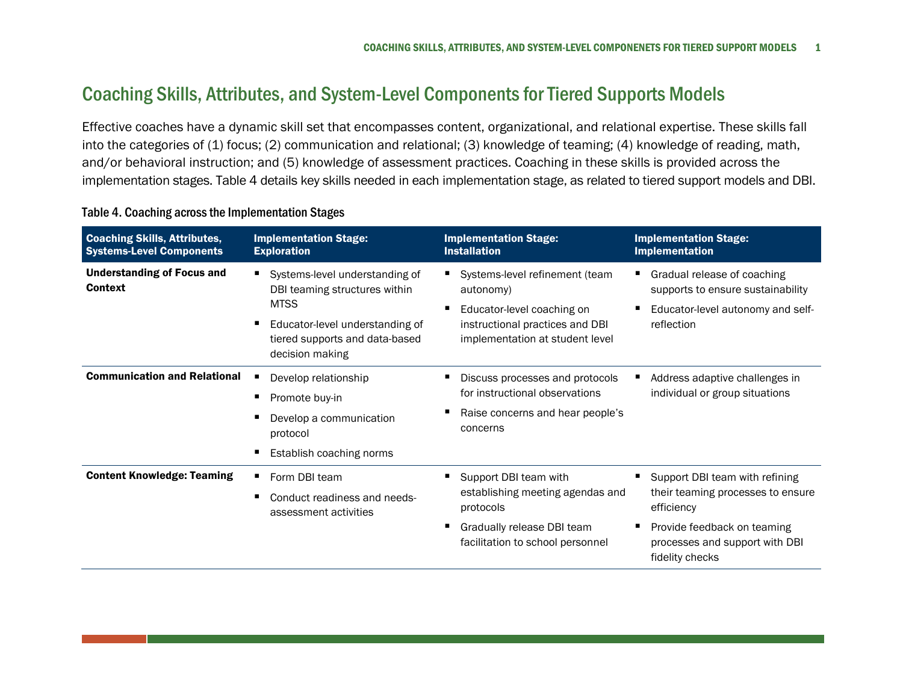## Coaching Skills, Attributes, and System-Level Components for Tiered Supports Models

Effective coaches have a dynamic skill set that encompasses content, organizational, and relational expertise. These skills fall into the categories of (1) focus; (2) communication and relational; (3) knowledge of teaming; (4) knowledge of reading, math, and/or behavioral instruction; and (5) knowledge of assessment practices. Coaching in these skills is provided across the implementation stages. Table 4 details key skills needed in each implementation stage, as related to tiered support models and DBI.

| <b>Coaching Skills, Attributes,</b><br><b>Systems-Level Components</b> | <b>Implementation Stage:</b><br><b>Exploration</b>                                                                                                                               | <b>Implementation Stage:</b><br><b>Installation</b>                                                                                             | <b>Implementation Stage:</b><br><b>Implementation</b>                                                                                                                 |
|------------------------------------------------------------------------|----------------------------------------------------------------------------------------------------------------------------------------------------------------------------------|-------------------------------------------------------------------------------------------------------------------------------------------------|-----------------------------------------------------------------------------------------------------------------------------------------------------------------------|
| <b>Understanding of Focus and</b><br><b>Context</b>                    | ٠<br>Systems-level understanding of<br>DBI teaming structures within<br><b>MTSS</b><br>Е<br>Educator-level understanding of<br>tiered supports and data-based<br>decision making | Systems-level refinement (team<br>autonomy)<br>Educator-level coaching on<br>instructional practices and DBI<br>implementation at student level | Gradual release of coaching<br>supports to ensure sustainability<br>Educator-level autonomy and self-<br>reflection                                                   |
| <b>Communication and Relational</b>                                    | Develop relationship<br>п<br>Promote buy-in<br>в<br>Develop a communication<br>protocol<br>Е<br>Establish coaching norms                                                         | Discuss processes and protocols<br>for instructional observations<br>Raise concerns and hear people's<br>concerns                               | Address adaptive challenges in<br>individual or group situations                                                                                                      |
| <b>Content Knowledge: Teaming</b>                                      | Form DBI team<br>٠<br>п<br>Conduct readiness and needs-<br>assessment activities                                                                                                 | Support DBI team with<br>establishing meeting agendas and<br>protocols<br>Gradually release DBI team<br>facilitation to school personnel        | Support DBI team with refining<br>their teaming processes to ensure<br>efficiency<br>Provide feedback on teaming<br>processes and support with DBI<br>fidelity checks |

## Table 4. Coaching across the Implementation Stages